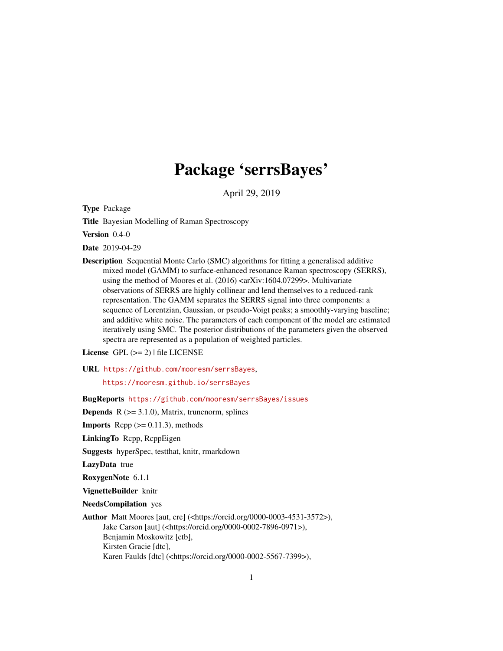# Package 'serrsBayes'

April 29, 2019

<span id="page-0-0"></span>Type Package

Title Bayesian Modelling of Raman Spectroscopy

Version 0.4-0

Date 2019-04-29

Description Sequential Monte Carlo (SMC) algorithms for fitting a generalised additive mixed model (GAMM) to surface-enhanced resonance Raman spectroscopy (SERRS), using the method of Moores et al. (2016) <arXiv:1604.07299>. Multivariate observations of SERRS are highly collinear and lend themselves to a reduced-rank representation. The GAMM separates the SERRS signal into three components: a sequence of Lorentzian, Gaussian, or pseudo-Voigt peaks; a smoothly-varying baseline; and additive white noise. The parameters of each component of the model are estimated iteratively using SMC. The posterior distributions of the parameters given the observed spectra are represented as a population of weighted particles.

License  $GPL (= 2)$  | file LICENSE

#### URL <https://github.com/mooresm/serrsBayes>,

<https://mooresm.github.io/serrsBayes>

BugReports <https://github.com/mooresm/serrsBayes/issues>

**Depends**  $R$  ( $>= 3.1.0$ ), Matrix, truncnorm, splines

**Imports** Rcpp  $(>= 0.11.3)$ , methods

LinkingTo Rcpp, RcppEigen

Suggests hyperSpec, testthat, knitr, rmarkdown

LazyData true

RoxygenNote 6.1.1

VignetteBuilder knitr

NeedsCompilation yes

Author Matt Moores [aut, cre] (<https://orcid.org/0000-0003-4531-3572>), Jake Carson [aut] (<https://orcid.org/0000-0002-7896-0971>), Benjamin Moskowitz [ctb], Kirsten Gracie [dtc], Karen Faulds [dtc] (<https://orcid.org/0000-0002-5567-7399>),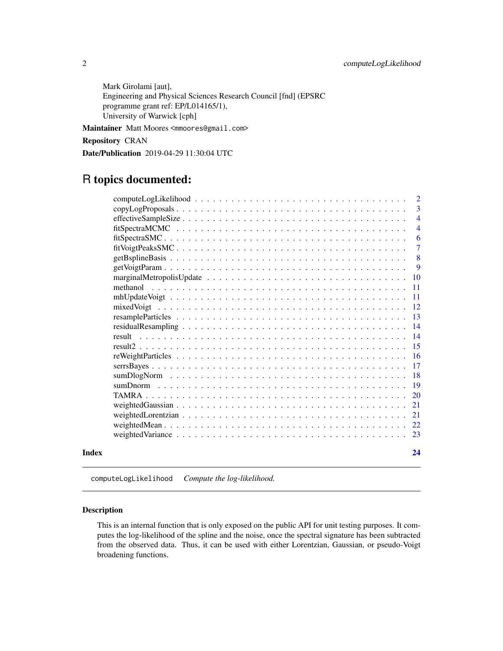<span id="page-1-0"></span>Mark Girolami [aut], Engineering and Physical Sciences Research Council [fnd] (EPSRC programme grant ref: EP/L014165/1), University of Warwick [cph]

Maintainer Matt Moores <mmoores@gmail.com>

Repository CRAN

Date/Publication 2019-04-29 11:30:04 UTC

## R topics documented:

|       |                                                                                                           | 2              |
|-------|-----------------------------------------------------------------------------------------------------------|----------------|
|       |                                                                                                           | 3              |
|       |                                                                                                           | $\overline{4}$ |
|       |                                                                                                           | $\overline{4}$ |
|       |                                                                                                           | 6              |
|       |                                                                                                           | $\tau$         |
|       |                                                                                                           | 8              |
|       |                                                                                                           | 9              |
|       |                                                                                                           | 10             |
|       |                                                                                                           | 11             |
|       | $mhUpdateVoigt \dots \dots \dots \dots \dots \dots \dots \dots \dots \dots \dots \dots \dots \dots \dots$ | -11            |
|       |                                                                                                           | <sup>12</sup>  |
|       |                                                                                                           | -13            |
|       |                                                                                                           | 14             |
|       |                                                                                                           | -14            |
|       |                                                                                                           | -15            |
|       |                                                                                                           | -16            |
|       |                                                                                                           | 17             |
|       |                                                                                                           | <b>18</b>      |
|       |                                                                                                           | <b>19</b>      |
|       |                                                                                                           | 20             |
|       |                                                                                                           | 21             |
|       |                                                                                                           | 21             |
|       |                                                                                                           | 22             |
|       |                                                                                                           | 23             |
| Index |                                                                                                           | 24             |

computeLogLikelihood *Compute the log-likelihood.*

#### Description

This is an internal function that is only exposed on the public API for unit testing purposes. It computes the log-likelihood of the spline and the noise, once the spectral signature has been subtracted from the observed data. Thus, it can be used with either Lorentzian, Gaussian, or pseudo-Voigt broadening functions.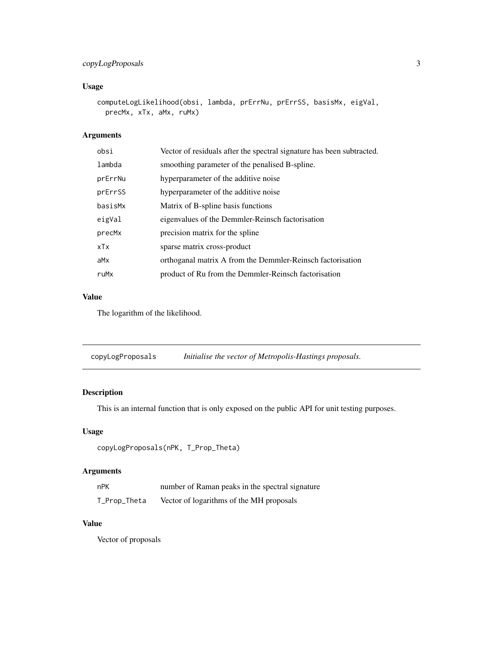### <span id="page-2-0"></span>copyLogProposals 3

### Usage

```
computeLogLikelihood(obsi, lambda, prErrNu, prErrSS, basisMx, eigVal,
 precMx, xTx, aMx, ruMx)
```
### Arguments

| obsi    | Vector of residuals after the spectral signature has been subtracted. |
|---------|-----------------------------------------------------------------------|
| lambda  | smoothing parameter of the penalised B-spline.                        |
| prErrNu | hyperparameter of the additive noise                                  |
| prErrSS | hyperparameter of the additive noise                                  |
| basisMx | Matrix of B-spline basis functions                                    |
| eigVal  | eigenvalues of the Demmler-Reinsch factorisation                      |
| precMx  | precision matrix for the spline                                       |
| xTx     | sparse matrix cross-product                                           |
| aMx     | orthoganal matrix A from the Demmler-Reinsch factorisation            |
| ruMx    | product of Ru from the Demmler-Reinsch factorisation                  |
|         |                                                                       |

#### Value

The logarithm of the likelihood.

| copyLogProposals |  | Initialise the vector of Metropolis-Hastings proposals. |  |
|------------------|--|---------------------------------------------------------|--|
|------------------|--|---------------------------------------------------------|--|

#### Description

This is an internal function that is only exposed on the public API for unit testing purposes.

#### Usage

```
copyLogProposals(nPK, T_Prop_Theta)
```
#### Arguments

| nPK          | number of Raman peaks in the spectral signature |
|--------------|-------------------------------------------------|
| T_Prop_Theta | Vector of logarithms of the MH proposals        |

#### Value

Vector of proposals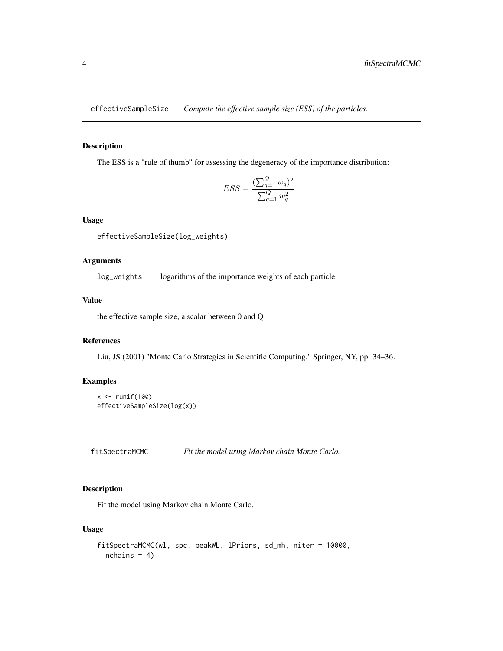<span id="page-3-0"></span>effectiveSampleSize *Compute the effective sample size (ESS) of the particles.*

#### Description

The ESS is a "rule of thumb" for assessing the degeneracy of the importance distribution:

$$
ESS = \frac{(\sum_{q=1}^{Q} w_q)^2}{\sum_{q=1}^{Q} w_q^2}
$$

#### Usage

effectiveSampleSize(log\_weights)

#### Arguments

log\_weights logarithms of the importance weights of each particle.

#### Value

the effective sample size, a scalar between 0 and Q

#### References

Liu, JS (2001) "Monte Carlo Strategies in Scientific Computing." Springer, NY, pp. 34–36.

#### Examples

```
x \leftarrow runif(100)effectiveSampleSize(log(x))
```
fitSpectraMCMC *Fit the model using Markov chain Monte Carlo.*

#### Description

Fit the model using Markov chain Monte Carlo.

#### Usage

```
fitSpectraMCMC(wl, spc, peakWL, lPriors, sd_mh, niter = 10000,
 nchains = 4)
```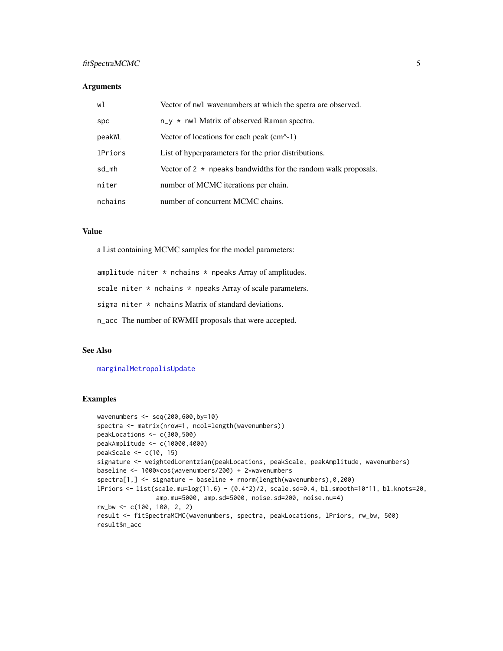#### <span id="page-4-0"></span>fitSpectraMCMC 5

#### **Arguments**

| wl             | Vector of nwl wavenumbers at which the spetra are observed.           |
|----------------|-----------------------------------------------------------------------|
| spc            | $n_y \star$ nwl Matrix of observed Raman spectra.                     |
| peakWL         | Vector of locations for each peak $(cm^{-1})$                         |
| <b>lPriors</b> | List of hyperparameters for the prior distributions.                  |
| sd_mh          | Vector of $2 \times$ npeaks bandwidths for the random walk proposals. |
| niter          | number of MCMC iterations per chain.                                  |
| nchains        | number of concurrent MCMC chains.                                     |

#### Value

a List containing MCMC samples for the model parameters:

amplitude niter  $*$  nchains  $*$  npeaks Array of amplitudes.

scale niter  $*$  nchains  $*$  npeaks Array of scale parameters.

sigma niter  $*$  nchains Matrix of standard deviations.

n\_acc The number of RWMH proposals that were accepted.

#### See Also

#### [marginalMetropolisUpdate](#page-9-1)

#### Examples

```
wavenumbers <- seq(200,600,by=10)
spectra <- matrix(nrow=1, ncol=length(wavenumbers))
peakLocations <- c(300,500)
peakAmplitude <- c(10000,4000)
peakScale <- c(10, 15)
signature <- weightedLorentzian(peakLocations, peakScale, peakAmplitude, wavenumbers)
baseline <- 1000*cos(wavenumbers/200) + 2*wavenumbers
spectra[1,] <- signature + baseline + rnorm(length(wavenumbers),0,200)
lPriors <- list(scale.mu=log(11.6) - (0.4^2)/2, scale.sd=0.4, bl.smooth=10^11, bl.knots=20,
                amp.mu=5000, amp.sd=5000, noise.sd=200, noise.nu=4)
rw_bw <- c(100, 100, 2, 2)
result <- fitSpectraMCMC(wavenumbers, spectra, peakLocations, lPriors, rw_bw, 500)
result$n_acc
```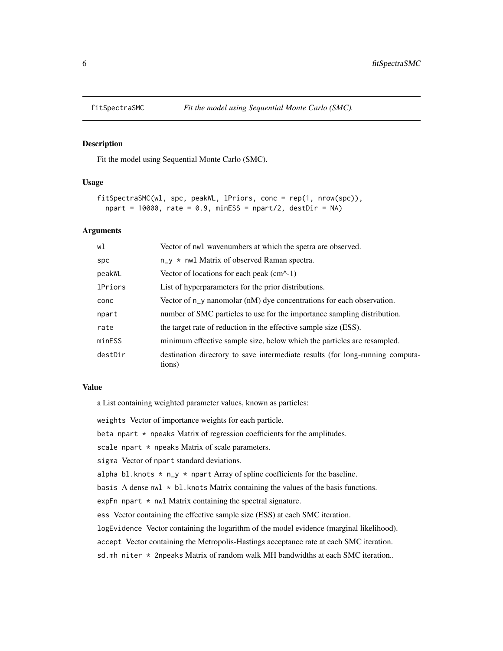<span id="page-5-0"></span>

#### Description

Fit the model using Sequential Monte Carlo (SMC).

#### Usage

```
fitSpectraSMC(wl, spc, peakWL, lPriors, conc = rep(1, nrow(spc)),
  npart = 10000, rate = 0.9, minESS = npart/2, destDir = NA)
```
#### Arguments

| wl             | Vector of nwl wavenumbers at which the spetra are observed.                             |
|----------------|-----------------------------------------------------------------------------------------|
| <b>Spc</b>     | $n_y \star$ nwl Matrix of observed Raman spectra.                                       |
| peakWL         | Vector of locations for each peak $(cm^{-1})$                                           |
| <b>lPriors</b> | List of hyperparameters for the prior distributions.                                    |
| conc           | Vector of $n_y$ nanomolar ( $n$ M) dye concentrations for each observation.             |
| npart          | number of SMC particles to use for the importance sampling distribution.                |
| rate           | the target rate of reduction in the effective sample size (ESS).                        |
| minESS         | minimum effective sample size, below which the particles are resampled.                 |
| destDir        | destination directory to save intermediate results (for long-running computa-<br>tions) |

#### Value

a List containing weighted parameter values, known as particles:

weights Vector of importance weights for each particle.

beta npart  $*$  npeaks Matrix of regression coefficients for the amplitudes.

scale npart  $*$  npeaks Matrix of scale parameters.

sigma Vector of npart standard deviations.

alpha bl.knots  $*$  n\_y  $*$  npart Array of spline coefficients for the baseline.

basis A dense nwl  $*$  bl. knots Matrix containing the values of the basis functions.

expFn npart  $*$  nwl Matrix containing the spectral signature.

ess Vector containing the effective sample size (ESS) at each SMC iteration.

logEvidence Vector containing the logarithm of the model evidence (marginal likelihood).

accept Vector containing the Metropolis-Hastings acceptance rate at each SMC iteration.

sd.mh niter \* 2npeaks Matrix of random walk MH bandwidths at each SMC iteration..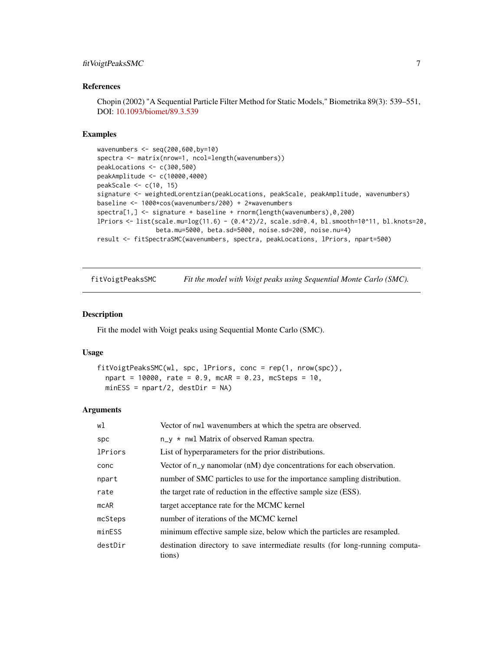#### <span id="page-6-0"></span>fitVoigtPeaksSMC 7

#### References

Chopin (2002) "A Sequential Particle Filter Method for Static Models," Biometrika 89(3): 539–551, DOI: [10.1093/biomet/89.3.539](http://dx.doi.org/10.1093/biomet/89.3.539)

#### Examples

```
wavenumbers <- seq(200,600,by=10)
spectra <- matrix(nrow=1, ncol=length(wavenumbers))
peakLocations <- c(300,500)
peakAmplitude <- c(10000,4000)
peakScale <- c(10, 15)
signature <- weightedLorentzian(peakLocations, peakScale, peakAmplitude, wavenumbers)
baseline <- 1000*cos(wavenumbers/200) + 2*wavenumbers
spectra[1,] <- signature + baseline + rnorm(length(wavenumbers),0,200)
lPriors <- list(scale.mu=log(11.6) - (0.4^2)/2, scale.sd=0.4, bl.smooth=10^11, bl.knots=20,
                beta.mu=5000, beta.sd=5000, noise.sd=200, noise.nu=4)
result <- fitSpectraSMC(wavenumbers, spectra, peakLocations, lPriors, npart=500)
```
fitVoigtPeaksSMC *Fit the model with Voigt peaks using Sequential Monte Carlo (SMC).*

#### Description

Fit the model with Voigt peaks using Sequential Monte Carlo (SMC).

#### Usage

```
fitVoigtPeaksSMC(wl, spc, lPriors, conc = rep(1, nrow(spc)),
 npart = 10000, rate = 0.9, mcAR = 0.23, mcSteps = 10,
 minESS = npart/2, destDir = NA)
```
#### Arguments

| wl             | Vector of nwl wavenumbers at which the spetra are observed.                             |
|----------------|-----------------------------------------------------------------------------------------|
| spc            | $n_y \star$ nwl Matrix of observed Raman spectra.                                       |
| <b>1Priors</b> | List of hyperparameters for the prior distributions.                                    |
| conc           | Vector of $n_y$ nanomolar $(nM)$ dye concentrations for each observation.               |
| npart          | number of SMC particles to use for the importance sampling distribution.                |
| rate           | the target rate of reduction in the effective sample size (ESS).                        |
| mcAR           | target acceptance rate for the MCMC kernel                                              |
| mcSteps        | number of iterations of the MCMC kernel                                                 |
| minESS         | minimum effective sample size, below which the particles are resampled.                 |
| destDir        | destination directory to save intermediate results (for long-running computa-<br>tions) |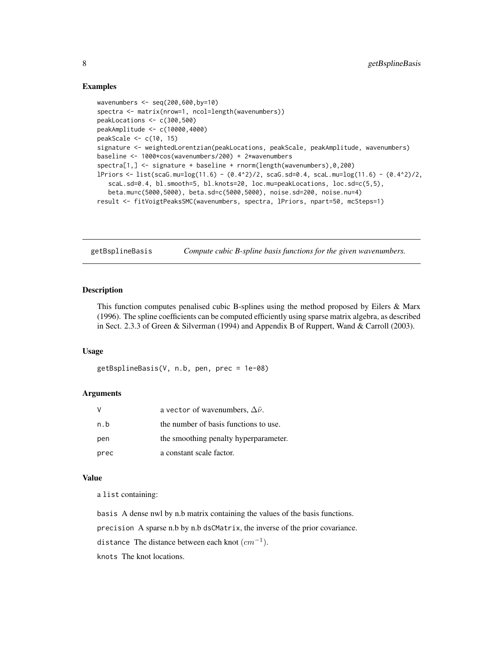#### <span id="page-7-0"></span>Examples

```
wavenumbers <- seq(200,600,by=10)
spectra <- matrix(nrow=1, ncol=length(wavenumbers))
peakLocations <- c(300,500)
peakAmplitude <- c(10000,4000)
peakScale <- c(10, 15)
signature <- weightedLorentzian(peakLocations, peakScale, peakAmplitude, wavenumbers)
baseline <- 1000*cos(wavenumbers/200) + 2*wavenumbers
spectra[1,] <- signature + baseline + rnorm(length(wavenumbers),0,200)
lPriors <- list(scaG.mu=log(11.6) - (0.4^2)/2, scaG.sd=0.4, scaL.mu=log(11.6) - (0.4^2)/2,
  scaL.sd=0.4, bl.smooth=5, bl.knots=20, loc.mu=peakLocations, loc.sd=c(5,5),
  beta.mu=c(5000,5000), beta.sd=c(5000,5000), noise.sd=200, noise.nu=4)
result <- fitVoigtPeaksSMC(wavenumbers, spectra, lPriors, npart=50, mcSteps=1)
```
getBsplineBasis *Compute cubic B-spline basis functions for the given wavenumbers.*

#### **Description**

This function computes penalised cubic B-splines using the method proposed by Eilers & Marx (1996). The spline coefficients can be computed efficiently using sparse matrix algebra, as described in Sect. 2.3.3 of Green & Silverman (1994) and Appendix B of Ruppert, Wand & Carroll (2003).

#### Usage

getBsplineBasis(V, n.b, pen, prec = 1e-08)

#### Arguments

| V    | a vector of wavenumbers, $\Delta \tilde{\nu}$ . |  |
|------|-------------------------------------------------|--|
| n.b  | the number of basis functions to use.           |  |
| pen  | the smoothing penalty hyperparameter.           |  |
| prec | a constant scale factor.                        |  |

#### Value

a list containing:

basis A dense nwl by n.b matrix containing the values of the basis functions.

precision A sparse n.b by n.b dsCMatrix, the inverse of the prior covariance.

distance The distance between each knot  $(cm^{-1}).$ 

knots The knot locations.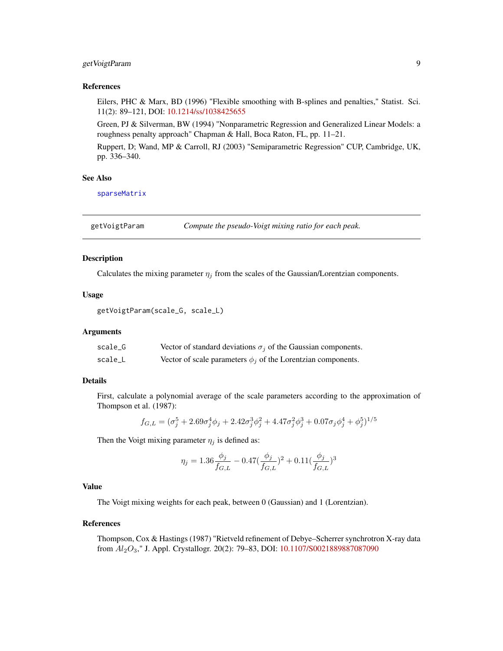#### <span id="page-8-0"></span>getVoigtParam 9

#### References

Eilers, PHC & Marx, BD (1996) "Flexible smoothing with B-splines and penalties," Statist. Sci. 11(2): 89–121, DOI: [10.1214/ss/1038425655](http://dx.doi.org/10.1214/ss/1038425655)

Green, PJ & Silverman, BW (1994) "Nonparametric Regression and Generalized Linear Models: a roughness penalty approach" Chapman & Hall, Boca Raton, FL, pp. 11–21.

Ruppert, D; Wand, MP & Carroll, RJ (2003) "Semiparametric Regression" CUP, Cambridge, UK, pp. 336–340.

#### See Also

[sparseMatrix](#page-0-0)

getVoigtParam *Compute the pseudo-Voigt mixing ratio for each peak.*

#### Description

Calculates the mixing parameter  $\eta_j$  from the scales of the Gaussian/Lorentzian components.

#### Usage

```
getVoigtParam(scale_G, scale_L)
```
#### Arguments

| scale_G | Vector of standard deviations $\sigma_j$ of the Gaussian components. |
|---------|----------------------------------------------------------------------|
| scale_L | Vector of scale parameters $\phi_i$ of the Lorentzian components.    |

#### Details

First, calculate a polynomial average of the scale parameters according to the approximation of Thompson et al. (1987):

$$
f_{G,L} = (\sigma_j^5 + 2.69\sigma_j^4\phi_j + 2.42\sigma_j^3\phi_j^2 + 4.47\sigma_j^2\phi_j^3 + 0.07\sigma_j\phi_j^4 + \phi_j^5)^{1/5}
$$

Then the Voigt mixing parameter  $\eta_j$  is defined as:

$$
\eta_j = 1.36 \frac{\phi_j}{f_{G,L}} - 0.47 (\frac{\phi_j}{f_{G,L}})^2 + 0.11 (\frac{\phi_j}{f_{G,L}})^3
$$

#### Value

The Voigt mixing weights for each peak, between 0 (Gaussian) and 1 (Lorentzian).

#### References

Thompson, Cox & Hastings (1987) "Rietveld refinement of Debye–Scherrer synchrotron X-ray data from  $Al_2O_3$ ," J. Appl. Crystallogr. 20(2): 79–83, DOI: [10.1107/S0021889887087090](https://doi.org/10.1107/S0021889887087090)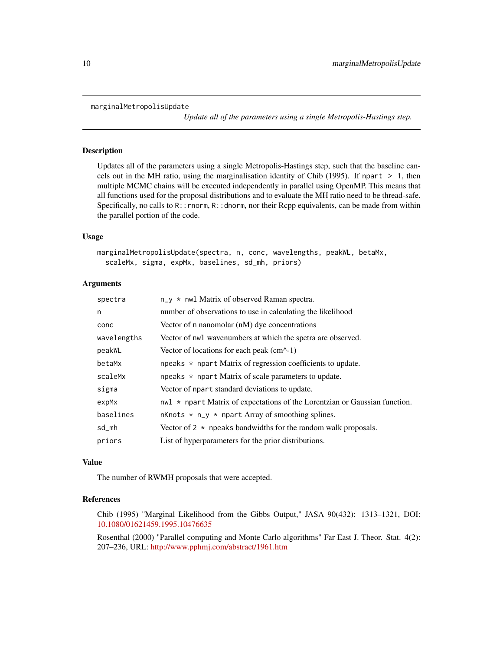```
marginalMetropolisUpdate
```
*Update all of the parameters using a single Metropolis-Hastings step.*

#### Description

Updates all of the parameters using a single Metropolis-Hastings step, such that the baseline cancels out in the MH ratio, using the marginalisation identity of Chib (1995). If npart > 1, then multiple MCMC chains will be executed independently in parallel using OpenMP. This means that all functions used for the proposal distributions and to evaluate the MH ratio need to be thread-safe. Specifically, no calls to  $R:$ : rnorm,  $R:$ : dnorm, nor their Rcpp equivalents, can be made from within the parallel portion of the code.

#### Usage

```
marginalMetropolisUpdate(spectra, n, conc, wavelengths, peakWL, betaMx,
  scaleMx, sigma, expMx, baselines, sd_mh, priors)
```
#### Arguments

| spectra     | n_y * nwl Matrix of observed Raman spectra.                                                    |
|-------------|------------------------------------------------------------------------------------------------|
| n           | number of observations to use in calculating the likelihood                                    |
| conc        | Vector of n nanomolar (nM) dye concentrations                                                  |
| wavelengths | Vector of nwl wavenumbers at which the spetra are observed.                                    |
| peakWL      | Vector of locations for each peak $(cm^{-1})$                                                  |
| betaMx      | npeaks $\star$ npart Matrix of regression coefficients to update.                              |
| scaleMx     | npeaks * npart Matrix of scale parameters to update.                                           |
| sigma       | Vector of npart standard deviations to update.                                                 |
| expMx       | $\text{nu1} \star \text{npart Matrix of expectations of the Lorentzian or Gaussian function.}$ |
| baselines   | nKnots $*$ n_y $*$ npart Array of smoothing splines.                                           |
| sd_mh       | Vector of $2 \times$ npeaks bandwidths for the random walk proposals.                          |
| priors      | List of hyperparameters for the prior distributions.                                           |

#### Value

The number of RWMH proposals that were accepted.

#### References

Chib (1995) "Marginal Likelihood from the Gibbs Output," JASA 90(432): 1313–1321, DOI: [10.1080/01621459.1995.10476635](http://dx.doi.org/10.1080/01621459.1995.10476635)

Rosenthal (2000) "Parallel computing and Monte Carlo algorithms" Far East J. Theor. Stat. 4(2): 207–236, URL: <http://www.pphmj.com/abstract/1961.htm>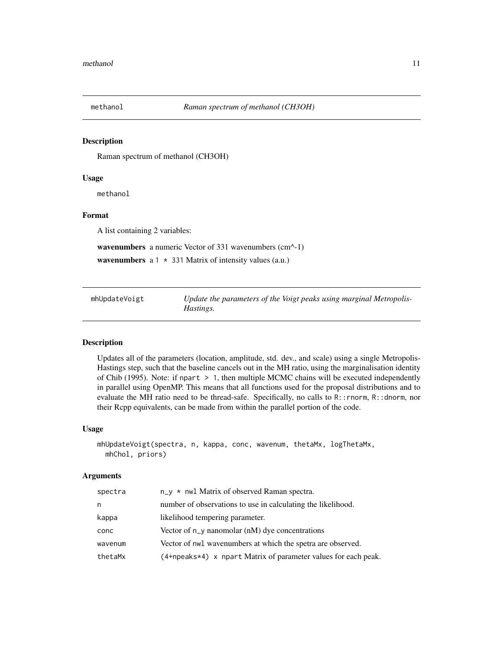<span id="page-10-0"></span>

#### Description

Raman spectrum of methanol (CH3OH)

#### Usage

methanol

#### Format

A list containing 2 variables:

wavenumbers a numeric Vector of 331 wavenumbers (cm^-1)

wavenumbers  $a 1 \times 331$  Matrix of intensity values (a.u.)

| mhUpdateVoigt |           | Update the parameters of the Voigt peaks using marginal Metropolis- |
|---------------|-----------|---------------------------------------------------------------------|
|               | Hastings. |                                                                     |

#### Description

Updates all of the parameters (location, amplitude, std. dev., and scale) using a single Metropolis-Hastings step, such that the baseline cancels out in the MH ratio, using the marginalisation identity of Chib (1995). Note: if npart > 1, then multiple MCMC chains will be executed independently in parallel using OpenMP. This means that all functions used for the proposal distributions and to evaluate the MH ratio need to be thread-safe. Specifically, no calls to R::rnorm, R::dnorm, nor their Rcpp equivalents, can be made from within the parallel portion of the code.

#### Usage

```
mhUpdateVoigt(spectra, n, kappa, conc, wavenum, thetaMx, logThetaMx,
 mhChol, priors)
```
#### Arguments

| spectra | $n_y \star$ nwl Matrix of observed Raman spectra.              |
|---------|----------------------------------------------------------------|
| n       | number of observations to use in calculating the likelihood.   |
| kappa   | likelihood tempering parameter.                                |
| conc    | Vector of $n_y$ nanomolar (nM) dye concentrations              |
| wavenum | Vector of nwl wavenumbers at which the spetra are observed.    |
| thetaMx | (4+npeaks*4) x npart Matrix of parameter values for each peak. |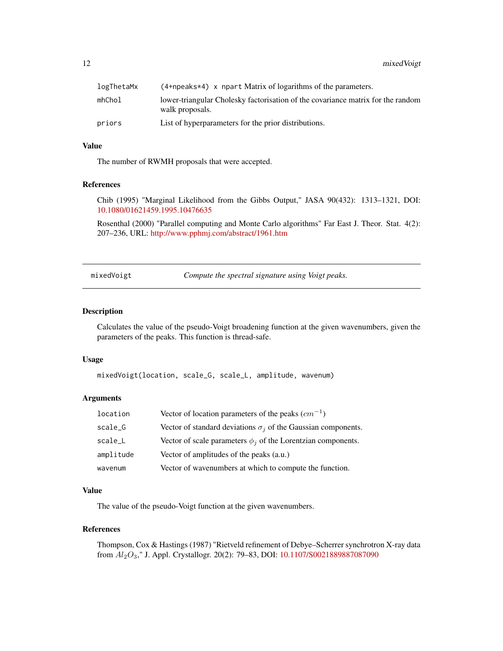<span id="page-11-0"></span>12 mixedVoigt

| logThetaMx | $(4+$ npeaks*4) x npart Matrix of logarithms of the parameters.                                    |
|------------|----------------------------------------------------------------------------------------------------|
| mhChol     | lower-triangular Cholesky factorisation of the covariance matrix for the random<br>walk proposals. |
| priors     | List of hyperparameters for the prior distributions.                                               |

#### Value

The number of RWMH proposals that were accepted.

#### References

Chib (1995) "Marginal Likelihood from the Gibbs Output," JASA 90(432): 1313–1321, DOI: [10.1080/01621459.1995.10476635](http://dx.doi.org/10.1080/01621459.1995.10476635)

Rosenthal (2000) "Parallel computing and Monte Carlo algorithms" Far East J. Theor. Stat. 4(2): 207–236, URL: <http://www.pphmj.com/abstract/1961.htm>

mixedVoigt *Compute the spectral signature using Voigt peaks.*

#### Description

Calculates the value of the pseudo-Voigt broadening function at the given wavenumbers, given the parameters of the peaks. This function is thread-safe.

#### Usage

```
mixedVoigt(location, scale_G, scale_L, amplitude, wavenum)
```
#### Arguments

| location  | Vector of location parameters of the peaks $(cm^{-1})$               |
|-----------|----------------------------------------------------------------------|
| scale_G   | Vector of standard deviations $\sigma_i$ of the Gaussian components. |
| scale_L   | Vector of scale parameters $\phi_i$ of the Lorentzian components.    |
| amplitude | Vector of amplitudes of the peaks (a.u.)                             |
| wavenum   | Vector of wavenumbers at which to compute the function.              |

#### Value

The value of the pseudo-Voigt function at the given wavenumbers.

#### References

Thompson, Cox & Hastings (1987) "Rietveld refinement of Debye–Scherrer synchrotron X-ray data from  $Al_2O_3$ ," J. Appl. Crystallogr. 20(2): 79-83, DOI: [10.1107/S0021889887087090](https://doi.org/10.1107/S0021889887087090)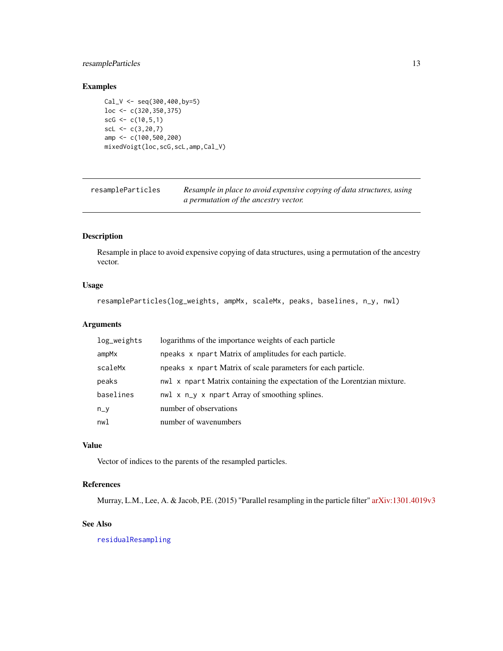#### <span id="page-12-0"></span>resampleParticles 13

#### Examples

```
Cal_V \leftarrow seq(300, 400, by=5)loc <- c(320,350,375)
scG \leq c(10, 5, 1)scl \leftarrow c(3, 20, 7)amp <- c(100,500,200)
mixedVoigt(loc,scG,scL,amp,Cal_V)
```

| resampleParticles | Resample in place to avoid expensive copying of data structures, using |
|-------------------|------------------------------------------------------------------------|
|                   | a permutation of the ancestry vector.                                  |

#### Description

Resample in place to avoid expensive copying of data structures, using a permutation of the ancestry vector.

### Usage

```
resampleParticles(log_weights, ampMx, scaleMx, peaks, baselines, n_y, nwl)
```
#### Arguments

| log_weights | logarithms of the importance weights of each particle                    |
|-------------|--------------------------------------------------------------------------|
| ampMx       | npeaks x npart Matrix of amplitudes for each particle.                   |
| scaleMx     | npeaks x npart Matrix of scale parameters for each particle.             |
| peaks       | nwl x npart Matrix containing the expectation of the Lorentzian mixture. |
| baselines   | nwl x n_y x npart Array of smoothing splines.                            |
| $n_y$       | number of observations                                                   |
| nwl         | number of wavenumbers                                                    |

#### Value

Vector of indices to the parents of the resampled particles.

#### References

Murray, L.M., Lee, A. & Jacob, P.E. (2015) "Parallel resampling in the particle filter" [arXiv:1301.4019v3](http://arxiv.org/abs/1301.4019)

#### See Also

[residualResampling](#page-13-1)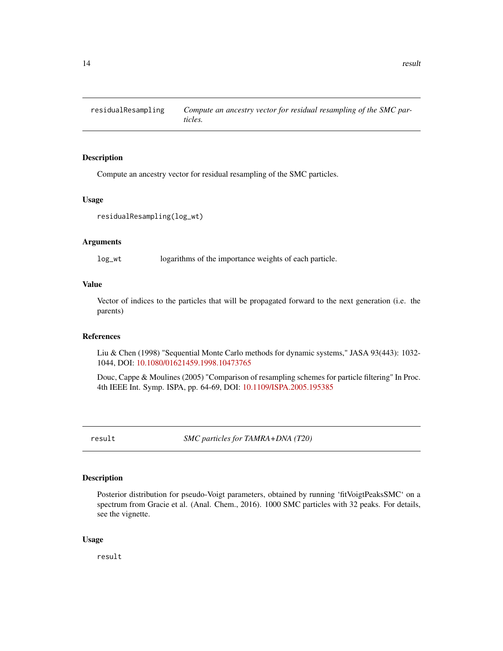<span id="page-13-1"></span><span id="page-13-0"></span>

#### Description

Compute an ancestry vector for residual resampling of the SMC particles.

#### Usage

```
residualResampling(log_wt)
```
#### Arguments

log\_wt logarithms of the importance weights of each particle.

#### Value

Vector of indices to the particles that will be propagated forward to the next generation (i.e. the parents)

#### References

Liu & Chen (1998) "Sequential Monte Carlo methods for dynamic systems," JASA 93(443): 1032- 1044, DOI: [10.1080/01621459.1998.10473765](http://dx.doi.org/10.1080/01621459.1998.10473765)

Douc, Cappe & Moulines (2005) "Comparison of resampling schemes for particle filtering" In Proc. 4th IEEE Int. Symp. ISPA, pp. 64-69, DOI: [10.1109/ISPA.2005.195385](http://dx.doi.org/10.1109/ISPA.2005.195385)

result *SMC particles for TAMRA+DNA (T20)*

#### Description

Posterior distribution for pseudo-Voigt parameters, obtained by running 'fitVoigtPeaksSMC' on a spectrum from Gracie et al. (Anal. Chem., 2016). 1000 SMC particles with 32 peaks. For details, see the vignette.

#### Usage

result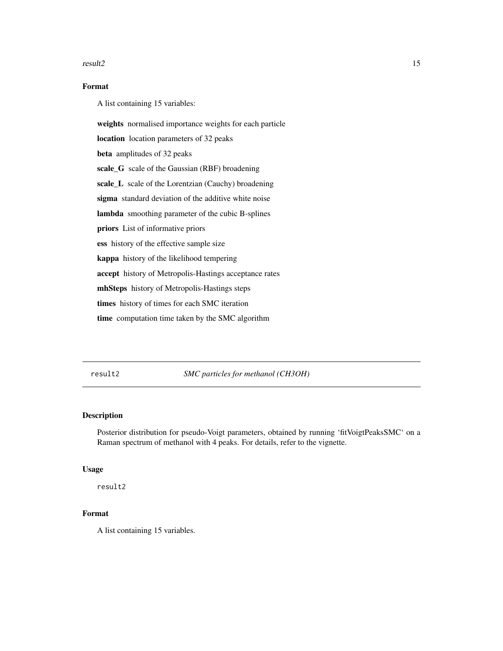#### <span id="page-14-0"></span>result2 15

#### Format

A list containing 15 variables:

weights normalised importance weights for each particle

location location parameters of 32 peaks

beta amplitudes of 32 peaks

scale\_G scale of the Gaussian (RBF) broadening

scale\_L scale of the Lorentzian (Cauchy) broadening

sigma standard deviation of the additive white noise

lambda smoothing parameter of the cubic B-splines

priors List of informative priors

ess history of the effective sample size

kappa history of the likelihood tempering

accept history of Metropolis-Hastings acceptance rates

mhSteps history of Metropolis-Hastings steps

times history of times for each SMC iteration

time computation time taken by the SMC algorithm

result2 *SMC particles for methanol (CH3OH)*

#### Description

Posterior distribution for pseudo-Voigt parameters, obtained by running 'fitVoigtPeaksSMC' on a Raman spectrum of methanol with 4 peaks. For details, refer to the vignette.

#### Usage

result2

#### Format

A list containing 15 variables.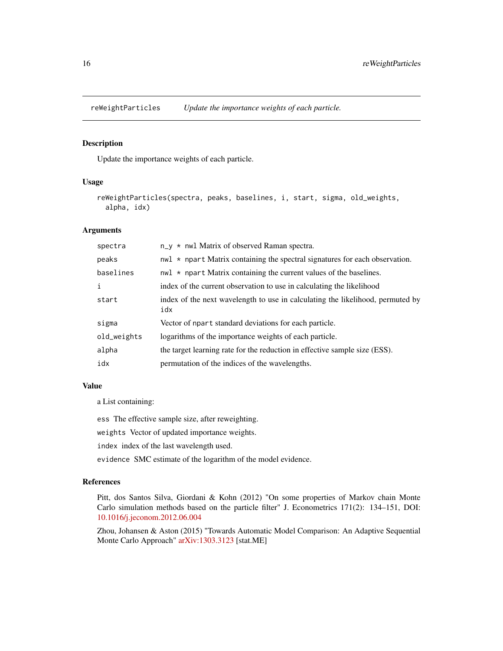<span id="page-15-0"></span>reWeightParticles *Update the importance weights of each particle.*

#### Description

Update the importance weights of each particle.

#### Usage

```
reWeightParticles(spectra, peaks, baselines, i, start, sigma, old_weights,
  alpha, idx)
```
#### Arguments

| spectra     | $n_y \star$ nwl Matrix of observed Raman spectra.                                               |
|-------------|-------------------------------------------------------------------------------------------------|
| peaks       | $\text{nu1} \star \text{npart Matrix containing the spectral signatures for each observation.}$ |
| baselines   | $nw1 \times np$ art Matrix containing the current values of the baselines.                      |
| i           | index of the current observation to use in calculating the likelihood                           |
| start       | index of the next wavelength to use in calculating the likelihood, permuted by<br>idx           |
| sigma       | Vector of npart standard deviations for each particle.                                          |
| old_weights | logarithms of the importance weights of each particle.                                          |
| alpha       | the target learning rate for the reduction in effective sample size (ESS).                      |
| idx         | permutation of the indices of the wavelengths.                                                  |

#### Value

a List containing:

ess The effective sample size, after reweighting.

weights Vector of updated importance weights.

index index of the last wavelength used.

evidence SMC estimate of the logarithm of the model evidence.

#### References

Pitt, dos Santos Silva, Giordani & Kohn (2012) "On some properties of Markov chain Monte Carlo simulation methods based on the particle filter" J. Econometrics 171(2): 134–151, DOI: [10.1016/j.jeconom.2012.06.004](http://dx.doi.org/10.1016/j.jeconom.2012.06.004)

Zhou, Johansen & Aston (2015) "Towards Automatic Model Comparison: An Adaptive Sequential Monte Carlo Approach" [arXiv:1303.3123](http://arxiv.org/abs/1303.3123) [stat.ME]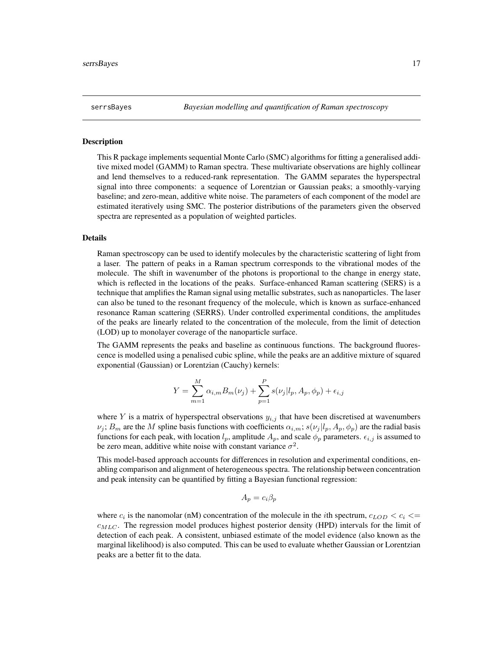<span id="page-16-0"></span>

#### **Description**

This R package implements sequential Monte Carlo (SMC) algorithms for fitting a generalised additive mixed model (GAMM) to Raman spectra. These multivariate observations are highly collinear and lend themselves to a reduced-rank representation. The GAMM separates the hyperspectral signal into three components: a sequence of Lorentzian or Gaussian peaks; a smoothly-varying baseline; and zero-mean, additive white noise. The parameters of each component of the model are estimated iteratively using SMC. The posterior distributions of the parameters given the observed spectra are represented as a population of weighted particles.

#### Details

Raman spectroscopy can be used to identify molecules by the characteristic scattering of light from a laser. The pattern of peaks in a Raman spectrum corresponds to the vibrational modes of the molecule. The shift in wavenumber of the photons is proportional to the change in energy state, which is reflected in the locations of the peaks. Surface-enhanced Raman scattering (SERS) is a technique that amplifies the Raman signal using metallic substrates, such as nanoparticles. The laser can also be tuned to the resonant frequency of the molecule, which is known as surface-enhanced resonance Raman scattering (SERRS). Under controlled experimental conditions, the amplitudes of the peaks are linearly related to the concentration of the molecule, from the limit of detection (LOD) up to monolayer coverage of the nanoparticle surface.

The GAMM represents the peaks and baseline as continuous functions. The background fluorescence is modelled using a penalised cubic spline, while the peaks are an additive mixture of squared exponential (Gaussian) or Lorentzian (Cauchy) kernels:

$$
Y = \sum_{m=1}^{M} \alpha_{i,m} B_m(\nu_j) + \sum_{p=1}^{P} s(\nu_j | l_p, A_p, \phi_p) + \epsilon_{i,j}
$$

where Y is a matrix of hyperspectral observations  $y_{i,j}$  that have been discretised at wavenumbers  $\nu_j$ ;  $B_m$  are the M spline basis functions with coefficients  $\alpha_{i,m}$ ;  $s(\nu_j | l_p, A_p, \phi_p)$  are the radial basis functions for each peak, with location  $l_p$ , amplitude  $A_p$ , and scale  $\phi_p$  parameters.  $\epsilon_{i,j}$  is assumed to be zero mean, additive white noise with constant variance  $\sigma^2$ .

This model-based approach accounts for differences in resolution and experimental conditions, enabling comparison and alignment of heterogeneous spectra. The relationship between concentration and peak intensity can be quantified by fitting a Bayesian functional regression:

$$
A_p = c_i \beta_p
$$

where  $c_i$  is the nanomolar (nM) concentration of the molecule in the *i*th spectrum,  $c_{LOD} < c_i \leq$  $c_{MLC}$ . The regression model produces highest posterior density (HPD) intervals for the limit of detection of each peak. A consistent, unbiased estimate of the model evidence (also known as the marginal likelihood) is also computed. This can be used to evaluate whether Gaussian or Lorentzian peaks are a better fit to the data.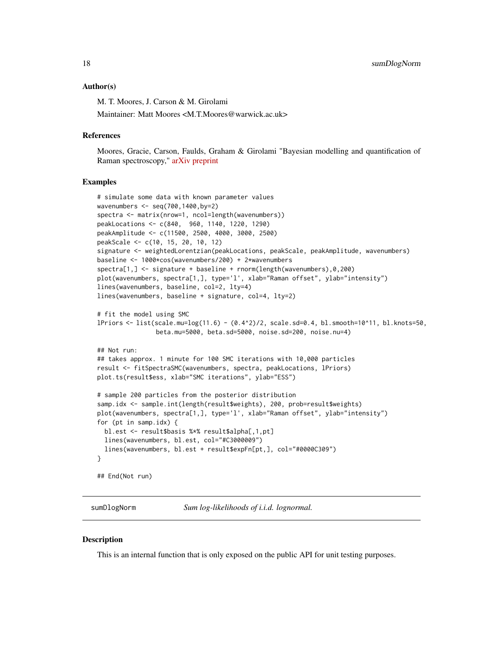#### <span id="page-17-0"></span>Author(s)

M. T. Moores, J. Carson & M. Girolami

Maintainer: Matt Moores <M.T.Moores@warwick.ac.uk>

#### References

Moores, Gracie, Carson, Faulds, Graham & Girolami "Bayesian modelling and quantification of Raman spectroscopy," [arXiv preprint](http://arxiv.org/find/stat/1/au:+Moores_M/0/1/0/all/0/1)

#### Examples

```
# simulate some data with known parameter values
wavenumbers <- seq(700,1400,by=2)
spectra <- matrix(nrow=1, ncol=length(wavenumbers))
peakLocations <- c(840, 960, 1140, 1220, 1290)
peakAmplitude <- c(11500, 2500, 4000, 3000, 2500)
peakScale <- c(10, 15, 20, 10, 12)
signature <- weightedLorentzian(peakLocations, peakScale, peakAmplitude, wavenumbers)
baseline <- 1000*cos(wavenumbers/200) + 2*wavenumbers
spectra[1,] <- signature + baseline + rnorm(length(wavenumbers),0,200)
plot(wavenumbers, spectra[1,], type='l', xlab="Raman offset", ylab="intensity")
lines(wavenumbers, baseline, col=2, lty=4)
lines(wavenumbers, baseline + signature, col=4, lty=2)
# fit the model using SMC
lPriors <- list(scale.mu=log(11.6) - (0.4^2)/2, scale.sd=0.4, bl.smooth=10^11, bl.knots=50,
                beta.mu=5000, beta.sd=5000, noise.sd=200, noise.nu=4)
## Not run:
## takes approx. 1 minute for 100 SMC iterations with 10,000 particles
result <- fitSpectraSMC(wavenumbers, spectra, peakLocations, lPriors)
plot.ts(result$ess, xlab="SMC iterations", ylab="ESS")
# sample 200 particles from the posterior distribution
samp.idx <- sample.int(length(result$weights), 200, prob=result$weights)
plot(wavenumbers, spectra[1,], type='l', xlab="Raman offset", ylab="intensity")
for (pt in samp.idx) {
  bl.est <- result$basis %*% result$alpha[,1,pt]
  lines(wavenumbers, bl.est, col="#C3000009")
  lines(wavenumbers, bl.est + result$expFn[pt,], col="#0000C309")
}
## End(Not run)
```
sumDlogNorm *Sum log-likelihoods of i.i.d. lognormal.*

#### Description

This is an internal function that is only exposed on the public API for unit testing purposes.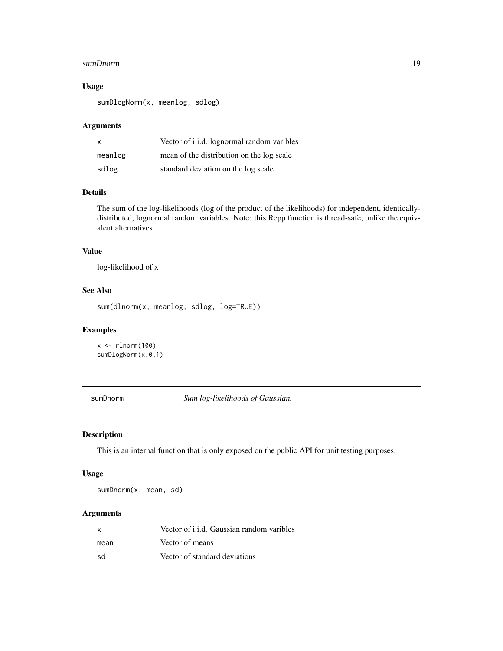#### <span id="page-18-0"></span>sumDnorm and the state of the state of the state of the state of the state of the state of the state of the state of the state of the state of the state of the state of the state of the state of the state of the state of t

#### Usage

sumDlogNorm(x, meanlog, sdlog)

#### Arguments

| X       | Vector of <i>i.i.d.</i> lognormal random varibles |
|---------|---------------------------------------------------|
| meanlog | mean of the distribution on the log scale         |
| sdlog   | standard deviation on the log scale               |

#### Details

The sum of the log-likelihoods (log of the product of the likelihoods) for independent, identicallydistributed, lognormal random variables. Note: this Rcpp function is thread-safe, unlike the equivalent alternatives.

#### Value

log-likelihood of x

#### See Also

```
sum(dlnorm(x, meanlog, sdlog, log=TRUE))
```
#### Examples

 $x < -$  rlnorm(100) sumDlogNorm(x,0,1)

sumDnorm *Sum log-likelihoods of Gaussian.*

#### Description

This is an internal function that is only exposed on the public API for unit testing purposes.

#### Usage

sumDnorm(x, mean, sd)

#### Arguments

| $\times$ | Vector of i.i.d. Gaussian random varibles |
|----------|-------------------------------------------|
| mean     | Vector of means                           |
| .sd      | Vector of standard deviations             |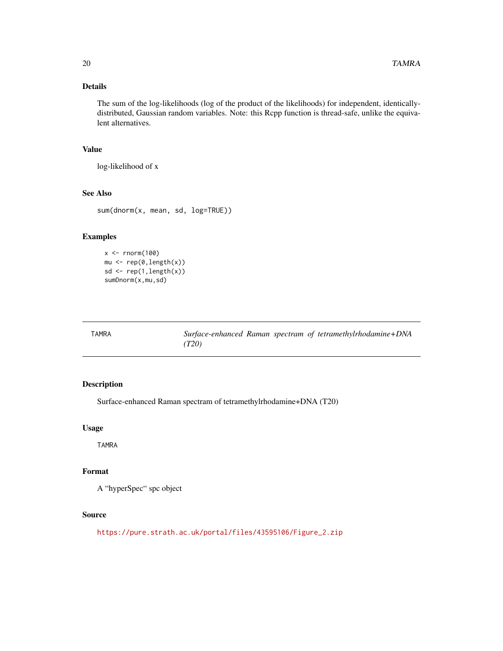#### <span id="page-19-0"></span>Details

The sum of the log-likelihoods (log of the product of the likelihoods) for independent, identicallydistributed, Gaussian random variables. Note: this Rcpp function is thread-safe, unlike the equivalent alternatives.

#### Value

log-likelihood of x

#### See Also

sum(dnorm(x, mean, sd, log=TRUE))

#### Examples

```
x \leftarrow \text{norm}(100)mu <- rep(0,length(x))
sd <- rep(1,length(x))
sumDnorm(x,mu,sd)
```

| TAMRA |       |  | Surface-enhanced Raman spectram of tetramethylrhodamine+DNA |
|-------|-------|--|-------------------------------------------------------------|
|       | (T20) |  |                                                             |

#### Description

Surface-enhanced Raman spectram of tetramethylrhodamine+DNA (T20)

#### Usage

TAMRA

#### Format

A "hyperSpec" spc object

#### Source

[https://pure.strath.ac.uk/portal/files/43595106/Figure\\_2.zip](https://pure.strath.ac.uk/portal/files/43595106/Figure_2.zip)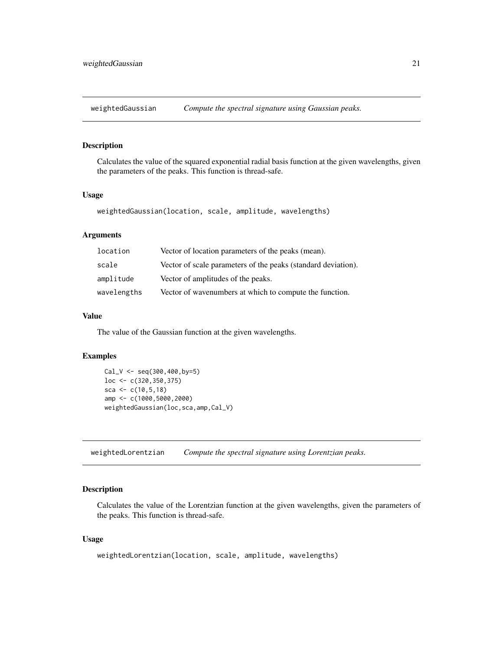<span id="page-20-0"></span>weightedGaussian *Compute the spectral signature using Gaussian peaks.*

#### Description

Calculates the value of the squared exponential radial basis function at the given wavelengths, given the parameters of the peaks. This function is thread-safe.

#### Usage

```
weightedGaussian(location, scale, amplitude, wavelengths)
```
#### Arguments

| location    | Vector of location parameters of the peaks (mean).            |
|-------------|---------------------------------------------------------------|
| scale       | Vector of scale parameters of the peaks (standard deviation). |
| amplitude   | Vector of amplitudes of the peaks.                            |
| wavelengths | Vector of wavenumbers at which to compute the function.       |

#### Value

The value of the Gaussian function at the given wavelengths.

#### Examples

```
Cal_V <- seq(300,400,by=5)
loc <- c(320,350,375)
sca <- c(10, 5, 18)amp <- c(1000,5000,2000)
weightedGaussian(loc,sca,amp,Cal_V)
```
weightedLorentzian *Compute the spectral signature using Lorentzian peaks.*

#### Description

Calculates the value of the Lorentzian function at the given wavelengths, given the parameters of the peaks. This function is thread-safe.

#### Usage

```
weightedLorentzian(location, scale, amplitude, wavelengths)
```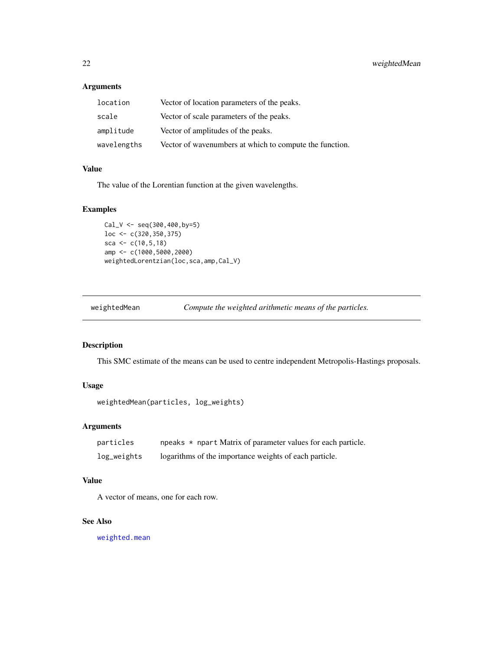#### <span id="page-21-0"></span>Arguments

| location    | Vector of location parameters of the peaks.             |
|-------------|---------------------------------------------------------|
| scale       | Vector of scale parameters of the peaks.                |
| amplitude   | Vector of amplitudes of the peaks.                      |
| wavelengths | Vector of wavenumbers at which to compute the function. |

#### Value

The value of the Lorentian function at the given wavelengths.

#### Examples

```
Cal_V \leftarrow seq(300, 400, by=5)loc <- c(320,350,375)
sca <- c(10, 5, 18)amp <- c(1000,5000,2000)
weightedLorentzian(loc,sca,amp,Cal_V)
```
weightedMean *Compute the weighted arithmetic means of the particles.*

#### Description

This SMC estimate of the means can be used to centre independent Metropolis-Hastings proposals.

#### Usage

```
weightedMean(particles, log_weights)
```
#### Arguments

| particles   | npeaks $\star$ npart Matrix of parameter values for each particle. |
|-------------|--------------------------------------------------------------------|
| log_weights | logarithms of the importance weights of each particle.             |

#### Value

A vector of means, one for each row.

#### See Also

[weighted.mean](#page-0-0)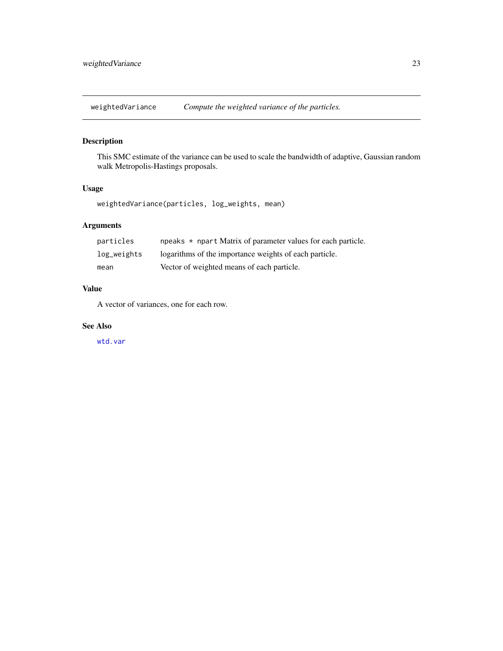<span id="page-22-0"></span>weightedVariance *Compute the weighted variance of the particles.*

### Description

This SMC estimate of the variance can be used to scale the bandwidth of adaptive, Gaussian random walk Metropolis-Hastings proposals.

### Usage

weightedVariance(particles, log\_weights, mean)

#### Arguments

| particles   | npeaks $\star$ npart Matrix of parameter values for each particle. |
|-------------|--------------------------------------------------------------------|
| log_weights | logarithms of the importance weights of each particle.             |
| mean        | Vector of weighted means of each particle.                         |

#### Value

A vector of variances, one for each row.

#### See Also

[wtd.var](#page-0-0)